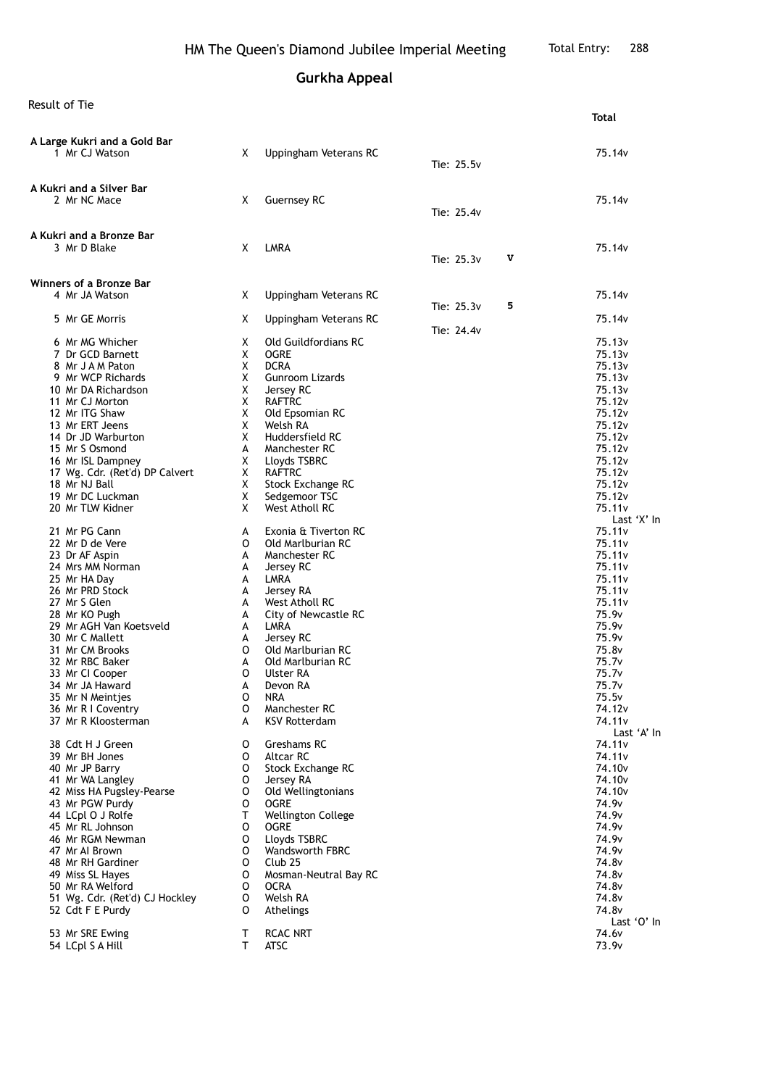**Gurkha Appeal**

Result of Tie

| result under                                       |        |                                |            |   | Total                                    |
|----------------------------------------------------|--------|--------------------------------|------------|---|------------------------------------------|
|                                                    |        |                                |            |   |                                          |
| A Large Kukri and a Gold Bar<br>1 Mr CJ Watson     | X      | Uppingham Veterans RC          |            |   | 75.14v                                   |
|                                                    |        |                                | Tie: 25.5v |   |                                          |
|                                                    |        |                                |            |   |                                          |
| A Kukri and a Silver Bar<br>2 Mr NC Mace           | X      | <b>Guernsey RC</b>             |            |   | 75.14v                                   |
|                                                    |        |                                | Tie: 25.4v |   |                                          |
|                                                    |        |                                |            |   |                                          |
| A Kukri and a Bronze Bar                           |        |                                |            |   |                                          |
| 3 Mr D Blake                                       | X      | <b>LMRA</b>                    | Tie: 25.3v | V | 75.14 <sub>v</sub>                       |
|                                                    |        |                                |            |   |                                          |
| Winners of a Bronze Bar                            |        |                                |            |   |                                          |
| 4 Mr JA Watson                                     | X      | Uppingham Veterans RC          |            | 5 | 75.14v                                   |
| 5 Mr GE Morris                                     | Χ      | Uppingham Veterans RC          | Tie: 25.3v |   | 75.14v                                   |
|                                                    |        |                                | Tie: 24.4v |   |                                          |
| 6 Mr MG Whicher                                    | X      | Old Guildfordians RC           |            |   | 75.13 <sub>v</sub>                       |
| 7 Dr GCD Barnett                                   | X      | <b>OGRE</b>                    |            |   | 75.13v                                   |
| 8 Mr J A M Paton                                   | X      | <b>DCRA</b>                    |            |   | 75.13 <sub>v</sub>                       |
| 9 Mr WCP Richards                                  | X      | Gunroom Lizards                |            |   | 75.13v                                   |
| 10 Mr DA Richardson<br>11 Mr CJ Morton             | X<br>X | Jersey RC<br><b>RAFTRC</b>     |            |   | 75.13v<br>75.12v                         |
| 12 Mr ITG Shaw                                     | X      | Old Epsomian RC                |            |   | 75.12v                                   |
| 13 Mr ERT Jeens                                    | X      | Welsh RA                       |            |   | 75.12v                                   |
| 14 Dr JD Warburton                                 | X      | Huddersfield RC                |            |   | 75.12v                                   |
| 15 Mr S Osmond                                     | А      | Manchester RC                  |            |   | 75.12v                                   |
| 16 Mr ISL Dampney                                  | X      | Lloyds TSBRC                   |            |   | 75.12 <sub>v</sub>                       |
| 17 Wg. Cdr. (Ret'd) DP Calvert                     | X      | <b>RAFTRC</b>                  |            |   | 75.12v                                   |
| 18 Mr NJ Ball                                      | X      | Stock Exchange RC              |            |   | 75.12v                                   |
| 19 Mr DC Luckman                                   | X      | Sedgemoor TSC                  |            |   | 75.12v                                   |
| 20 Mr TLW Kidner                                   | X      | West Atholl RC                 |            |   | 75.11v                                   |
| 21 Mr PG Cann                                      |        | Exonia & Tiverton RC           |            |   | Last 'X' In<br>75.11 <sub>v</sub>        |
| 22 Mr D de Vere                                    | A<br>0 | Old Marlburian RC              |            |   | 75.11v                                   |
| 23 Dr AF Aspin                                     | A      | Manchester RC                  |            |   | 75.11v                                   |
| 24 Mrs MM Norman                                   | A      | Jersey RC                      |            |   | 75.11 <sub>v</sub>                       |
| 25 Mr HA Day                                       | А      | LMRA                           |            |   | 75.11v                                   |
| 26 Mr PRD Stock                                    | A      | Jersey RA                      |            |   | 75.11v                                   |
| 27 Mr S Glen                                       | A      | West Atholl RC                 |            |   | 75.11v                                   |
| 28 Mr KO Pugh                                      | A      | City of Newcastle RC           |            |   | 75.9v                                    |
| 29 Mr AGH Van Koetsveld                            | A      | LMRA                           |            |   | 75.9v                                    |
| 30 Mr C Mallett                                    | А<br>0 | Jersey RC<br>Old Marlburian RC |            |   | 75.9v<br>75.8v                           |
| 31 Mr CM Brooks<br>32 Mr RBC Baker                 | А      | Old Marlburian RC              |            |   | 75.7 <sub>v</sub>                        |
| 33 Mr CI Cooper                                    | 0      | Ulster RA                      |            |   | 75.7 <sub>v</sub>                        |
| 34 Mr JA Haward                                    | A      | Devon RA                       |            |   | 75.7v                                    |
| 35 Mr N Meinties                                   | 0      | NRA                            |            |   | 75.5v                                    |
| 36 Mr R I Coventry                                 | 0      | Manchester RC                  |            |   | 74.12 <sub>v</sub>                       |
| 37 Mr R Kloosterman                                | A      | <b>KSV Rotterdam</b>           |            |   | 74.11 <sub>v</sub>                       |
|                                                    |        |                                |            |   | Last 'A' In                              |
| 38 Cdt H J Green                                   | 0      | Greshams RC                    |            |   | 74.11 <sub>v</sub>                       |
| 39 Mr BH Jones<br>40 Mr JP Barry                   | 0<br>0 | Altcar RC                      |            |   | 74.11 <sub>v</sub><br>74.10 <sub>v</sub> |
| 41 Mr WA Langley                                   | O      | Stock Exchange RC<br>Jersey RA |            |   | 74.10 <sub>v</sub>                       |
| 42 Miss HA Pugsley-Pearse                          | 0      | Old Wellingtonians             |            |   | 74.10 <sub>v</sub>                       |
| 43 Mr PGW Purdy                                    | 0      | <b>OGRE</b>                    |            |   | 74.9v                                    |
| 44 LCpl O J Rolfe                                  | т      | Wellington College             |            |   | 74.9v                                    |
| 45 Mr RL Johnson                                   | 0      | <b>OGRE</b>                    |            |   | 74.9v                                    |
| 46 Mr RGM Newman                                   | 0      | Lloyds TSBRC                   |            |   | 74.9v                                    |
| 47 Mr Al Brown                                     | 0      | Wandsworth FBRC                |            |   | 74.9v                                    |
| 48 Mr RH Gardiner                                  | 0      | Club <sub>25</sub>             |            |   | 74.8v                                    |
| 49 Miss SL Hayes                                   | 0      | Mosman-Neutral Bay RC          |            |   | 74.8v                                    |
| 50 Mr RA Welford                                   | 0      | <b>OCRA</b><br>Welsh RA        |            |   | 74.8v                                    |
| 51 Wg. Cdr. (Ret'd) CJ Hockley<br>52 Cdt F E Purdy | 0<br>0 | Athelings                      |            |   | 74.8v<br>74.8v                           |
|                                                    |        |                                |            |   | Last 'O' In                              |
| 53 Mr SRE Ewing                                    | т      | <b>RCAC NRT</b>                |            |   | 74.6v                                    |
| 54 LCpl S A Hill                                   | т      | ATSC                           |            |   | 73.9v                                    |
|                                                    |        |                                |            |   |                                          |